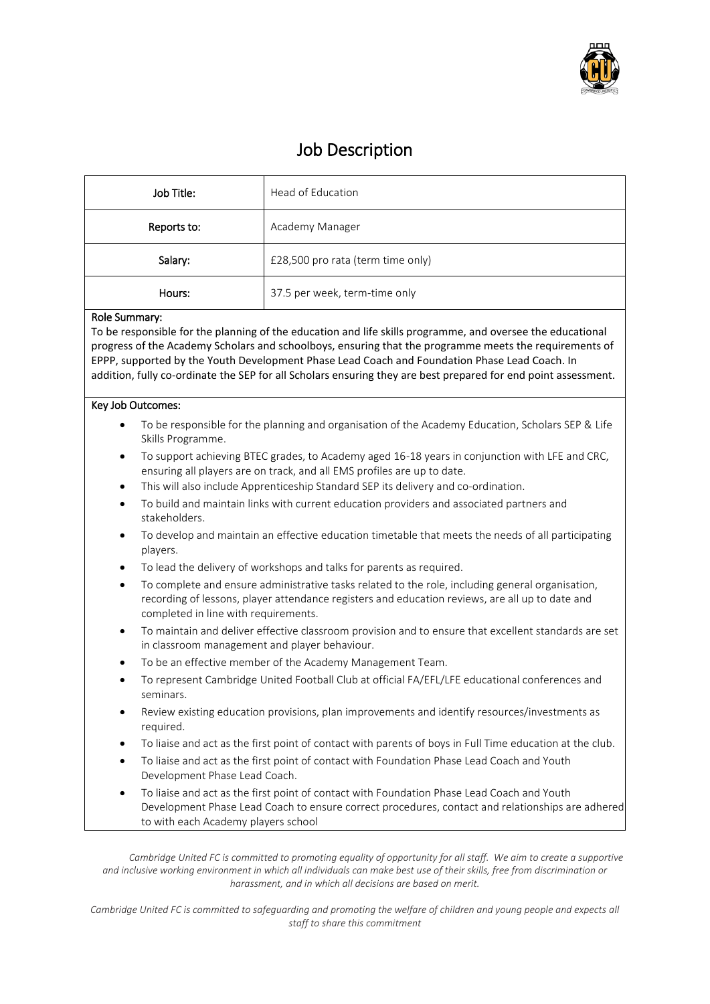

# Job Description

| Job Title:  | Head of Education                 |
|-------------|-----------------------------------|
| Reports to: | Academy Manager                   |
| Salary:     | £28,500 pro rata (term time only) |
| Hours:      | 37.5 per week, term-time only     |

# Role Summary:

To be responsible for the planning of the education and life skills programme, and oversee the educational progress of the Academy Scholars and schoolboys, ensuring that the programme meets the requirements of EPPP, supported by the Youth Development Phase Lead Coach and Foundation Phase Lead Coach. In addition, fully co-ordinate the SEP for all Scholars ensuring they are best prepared for end point assessment.

# Key Job Outcomes:

- To be responsible for the planning and organisation of the Academy Education, Scholars SEP & Life Skills Programme.
- To support achieving BTEC grades, to Academy aged 16-18 years in conjunction with LFE and CRC, ensuring all players are on track, and all EMS profiles are up to date.
- This will also include Apprenticeship Standard SEP its delivery and co-ordination.
- To build and maintain links with current education providers and associated partners and stakeholders.
- To develop and maintain an effective education timetable that meets the needs of all participating players.
- To lead the delivery of workshops and talks for parents as required.
- To complete and ensure administrative tasks related to the role, including general organisation, recording of lessons, player attendance registers and education reviews, are all up to date and completed in line with requirements.
- To maintain and deliver effective classroom provision and to ensure that excellent standards are set in classroom management and player behaviour.
- To be an effective member of the Academy Management Team.
- To represent Cambridge United Football Club at official FA/EFL/LFE educational conferences and seminars.
- Review existing education provisions, plan improvements and identify resources/investments as required.
- To liaise and act as the first point of contact with parents of boys in Full Time education at the club.
- To liaise and act as the first point of contact with Foundation Phase Lead Coach and Youth Development Phase Lead Coach.
- To liaise and act as the first point of contact with Foundation Phase Lead Coach and Youth Development Phase Lead Coach to ensure correct procedures, contact and relationships are adhered to with each Academy players school

*Cambridge United FC is committed to promoting equality of opportunity for all staff. We aim to create a supportive and inclusive working environment in which all individuals can make best use of their skills, free from discrimination or harassment, and in which all decisions are based on merit.*

*Cambridge United FC is committed to safeguarding and promoting the welfare of children and young people and expects all staff to share this commitment*